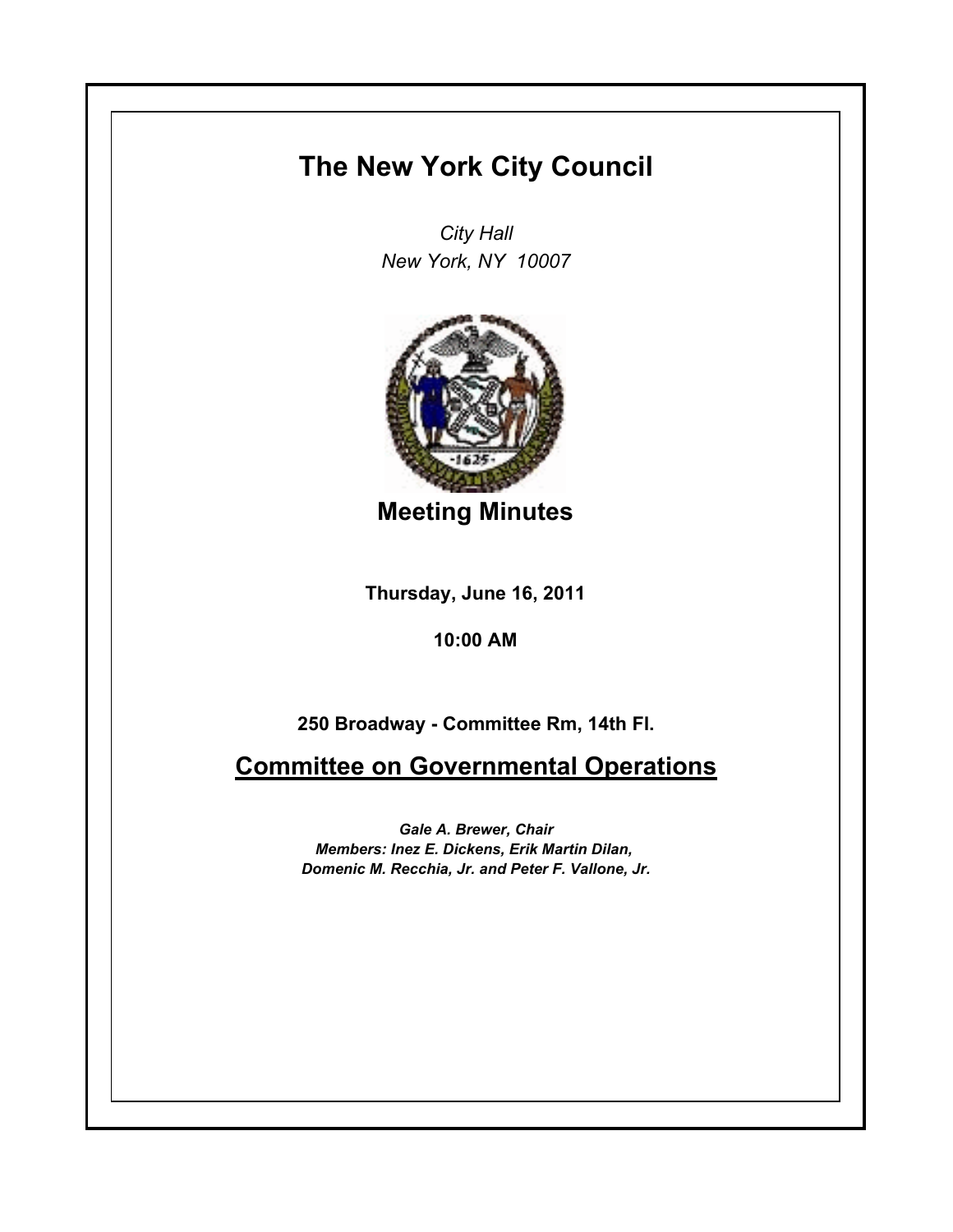## **The New York City Council**

*City Hall New York, NY 10007*



**Meeting Minutes**

**Thursday, June 16, 2011**

**10:00 AM**

**250 Broadway - Committee Rm, 14th Fl.**

**Committee on Governmental Operations**

*Gale A. Brewer, Chair Members: Inez E. Dickens, Erik Martin Dilan, Domenic M. Recchia, Jr. and Peter F. Vallone, Jr.*